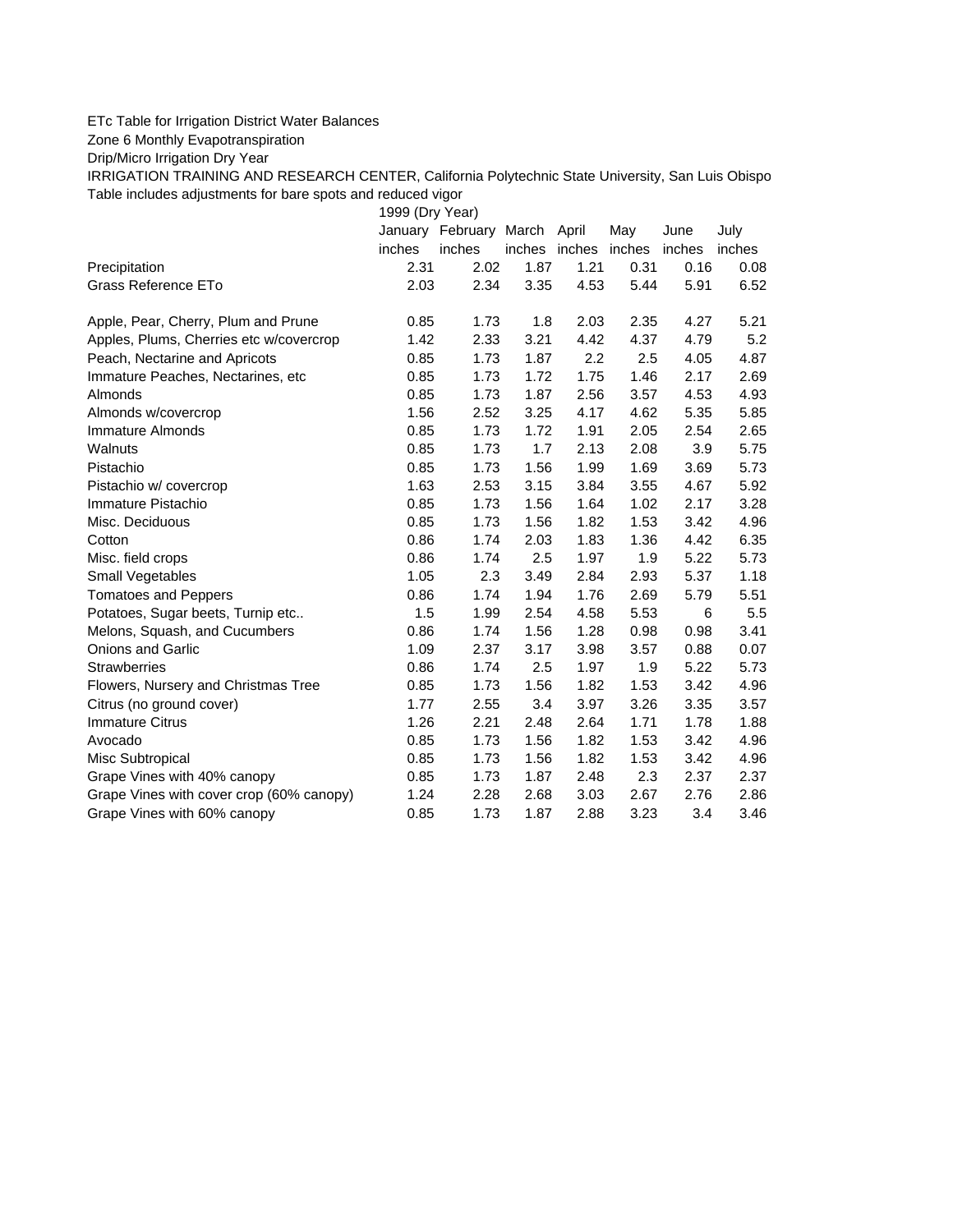## ETc Table for Irrigation District Water Balances

Zone 6 Monthly Evapotranspiration

Drip/Micro Irrigation Dry Year

IRRIGATION TRAINING AND RESEARCH CENTER, California Polytechnic State University, San Luis Obispo Table includes adjustments for bare spots and reduced vigor

1999 (Dry Year)

|                                          |        | January February March April |               |      | May    | June   | July   |
|------------------------------------------|--------|------------------------------|---------------|------|--------|--------|--------|
|                                          | inches | inches                       | inches inches |      | inches | inches | inches |
| Precipitation                            | 2.31   | 2.02                         | 1.87          | 1.21 | 0.31   | 0.16   | 0.08   |
| Grass Reference ETo                      | 2.03   | 2.34                         | 3.35          | 4.53 | 5.44   | 5.91   | 6.52   |
| Apple, Pear, Cherry, Plum and Prune      | 0.85   | 1.73                         | 1.8           | 2.03 | 2.35   | 4.27   | 5.21   |
| Apples, Plums, Cherries etc w/covercrop  | 1.42   | 2.33                         | 3.21          | 4.42 | 4.37   | 4.79   | 5.2    |
| Peach, Nectarine and Apricots            | 0.85   | 1.73                         | 1.87          | 2.2  | 2.5    | 4.05   | 4.87   |
| Immature Peaches, Nectarines, etc        | 0.85   | 1.73                         | 1.72          | 1.75 | 1.46   | 2.17   | 2.69   |
| Almonds                                  | 0.85   | 1.73                         | 1.87          | 2.56 | 3.57   | 4.53   | 4.93   |
| Almonds w/covercrop                      | 1.56   | 2.52                         | 3.25          | 4.17 | 4.62   | 5.35   | 5.85   |
| Immature Almonds                         | 0.85   | 1.73                         | 1.72          | 1.91 | 2.05   | 2.54   | 2.65   |
| Walnuts                                  | 0.85   | 1.73                         | 1.7           | 2.13 | 2.08   | 3.9    | 5.75   |
| Pistachio                                | 0.85   | 1.73                         | 1.56          | 1.99 | 1.69   | 3.69   | 5.73   |
| Pistachio w/ covercrop                   | 1.63   | 2.53                         | 3.15          | 3.84 | 3.55   | 4.67   | 5.92   |
| Immature Pistachio                       | 0.85   | 1.73                         | 1.56          | 1.64 | 1.02   | 2.17   | 3.28   |
| Misc. Deciduous                          | 0.85   | 1.73                         | 1.56          | 1.82 | 1.53   | 3.42   | 4.96   |
| Cotton                                   | 0.86   | 1.74                         | 2.03          | 1.83 | 1.36   | 4.42   | 6.35   |
| Misc. field crops                        | 0.86   | 1.74                         | 2.5           | 1.97 | 1.9    | 5.22   | 5.73   |
| <b>Small Vegetables</b>                  | 1.05   | 2.3                          | 3.49          | 2.84 | 2.93   | 5.37   | 1.18   |
| <b>Tomatoes and Peppers</b>              | 0.86   | 1.74                         | 1.94          | 1.76 | 2.69   | 5.79   | 5.51   |
| Potatoes, Sugar beets, Turnip etc        | 1.5    | 1.99                         | 2.54          | 4.58 | 5.53   | 6      | 5.5    |
| Melons, Squash, and Cucumbers            | 0.86   | 1.74                         | 1.56          | 1.28 | 0.98   | 0.98   | 3.41   |
| <b>Onions and Garlic</b>                 | 1.09   | 2.37                         | 3.17          | 3.98 | 3.57   | 0.88   | 0.07   |
| <b>Strawberries</b>                      | 0.86   | 1.74                         | 2.5           | 1.97 | 1.9    | 5.22   | 5.73   |
| Flowers, Nursery and Christmas Tree      | 0.85   | 1.73                         | 1.56          | 1.82 | 1.53   | 3.42   | 4.96   |
| Citrus (no ground cover)                 | 1.77   | 2.55                         | 3.4           | 3.97 | 3.26   | 3.35   | 3.57   |
| <b>Immature Citrus</b>                   | 1.26   | 2.21                         | 2.48          | 2.64 | 1.71   | 1.78   | 1.88   |
| Avocado                                  | 0.85   | 1.73                         | 1.56          | 1.82 | 1.53   | 3.42   | 4.96   |
| Misc Subtropical                         | 0.85   | 1.73                         | 1.56          | 1.82 | 1.53   | 3.42   | 4.96   |
| Grape Vines with 40% canopy              | 0.85   | 1.73                         | 1.87          | 2.48 | 2.3    | 2.37   | 2.37   |
| Grape Vines with cover crop (60% canopy) | 1.24   | 2.28                         | 2.68          | 3.03 | 2.67   | 2.76   | 2.86   |
| Grape Vines with 60% canopy              | 0.85   | 1.73                         | 1.87          | 2.88 | 3.23   | 3.4    | 3.46   |